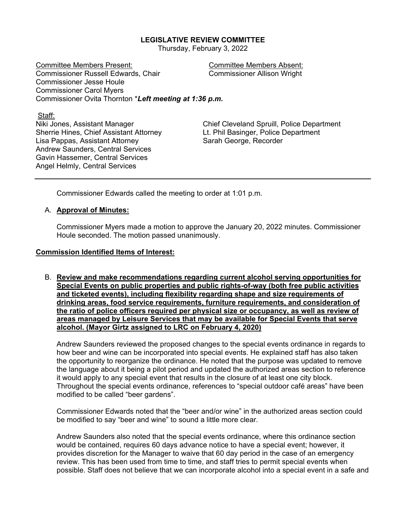## **LEGISLATIVE REVIEW COMMITTEE**

Thursday, February 3, 2022

Committee Members Present: Committee Members Absent: Commissioner Russell Edwards, Chair Commissioner Allison Wright Commissioner Jesse Houle Commissioner Carol Myers Commissioner Ovita Thornton \**Left meeting at 1:36 p.m.* 

Staff:

Sherrie Hines, Chief Assistant Attorney Lt. Phil Basinger, Police Department Lisa Pappas, Assistant Attorney Sarah George, Recorder Andrew Saunders, Central Services Gavin Hassemer, Central Services Angel Helmly, Central Services

Niki Jones, Assistant Manager Chief Cleveland Spruill, Police Department

Commissioner Edwards called the meeting to order at 1:01 p.m.

#### A. **Approval of Minutes:**

Commissioner Myers made a motion to approve the January 20, 2022 minutes. Commissioner Houle seconded. The motion passed unanimously.

#### **Commission Identified Items of Interest:**

B. **Review and make recommendations regarding current alcohol serving opportunities for Special Events on public properties and public rights-of-way (both free public activities and ticketed events), including flexibility regarding shape and size requirements of drinking areas, food service requirements, furniture requirements, and consideration of the ratio of police officers required per physical size or occupancy, as well as review of areas managed by Leisure Services that may be available for Special Events that serve alcohol. (Mayor Girtz assigned to LRC on February 4, 2020)** 

Andrew Saunders reviewed the proposed changes to the special events ordinance in regards to how beer and wine can be incorporated into special events. He explained staff has also taken the opportunity to reorganize the ordinance. He noted that the purpose was updated to remove the language about it being a pilot period and updated the authorized areas section to reference it would apply to any special event that results in the closure of at least one city block. Throughout the special events ordinance, references to "special outdoor café areas" have been modified to be called "beer gardens".

Commissioner Edwards noted that the "beer and/or wine" in the authorized areas section could be modified to say "beer and wine" to sound a little more clear.

Andrew Saunders also noted that the special events ordinance, where this ordinance section would be contained, requires 60 days advance notice to have a special event; however, it provides discretion for the Manager to waive that 60 day period in the case of an emergency review. This has been used from time to time, and staff tries to permit special events when possible. Staff does not believe that we can incorporate alcohol into a special event in a safe and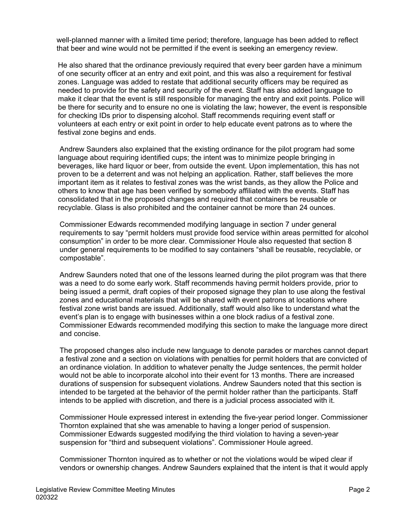well-planned manner with a limited time period; therefore, language has been added to reflect that beer and wine would not be permitted if the event is seeking an emergency review.

He also shared that the ordinance previously required that every beer garden have a minimum of one security officer at an entry and exit point, and this was also a requirement for festival zones. Language was added to restate that additional security officers may be required as needed to provide for the safety and security of the event. Staff has also added language to make it clear that the event is still responsible for managing the entry and exit points. Police will be there for security and to ensure no one is violating the law; however, the event is responsible for checking IDs prior to dispensing alcohol. Staff recommends requiring event staff or volunteers at each entry or exit point in order to help educate event patrons as to where the festival zone begins and ends.

Andrew Saunders also explained that the existing ordinance for the pilot program had some language about requiring identified cups; the intent was to minimize people bringing in beverages, like hard liquor or beer, from outside the event. Upon implementation, this has not proven to be a deterrent and was not helping an application. Rather, staff believes the more important item as it relates to festival zones was the wrist bands, as they allow the Police and others to know that age has been verified by somebody affiliated with the events. Staff has consolidated that in the proposed changes and required that containers be reusable or recyclable. Glass is also prohibited and the container cannot be more than 24 ounces.

Commissioner Edwards recommended modifying language in section 7 under general requirements to say "permit holders must provide food service within areas permitted for alcohol consumption" in order to be more clear. Commissioner Houle also requested that section 8 under general requirements to be modified to say containers "shall be reusable, recyclable, or compostable".

Andrew Saunders noted that one of the lessons learned during the pilot program was that there was a need to do some early work. Staff recommends having permit holders provide, prior to being issued a permit, draft copies of their proposed signage they plan to use along the festival zones and educational materials that will be shared with event patrons at locations where festival zone wrist bands are issued. Additionally, staff would also like to understand what the event's plan is to engage with businesses within a one block radius of a festival zone. Commissioner Edwards recommended modifying this section to make the language more direct and concise.

The proposed changes also include new language to denote parades or marches cannot depart a festival zone and a section on violations with penalties for permit holders that are convicted of an ordinance violation. In addition to whatever penalty the Judge sentences, the permit holder would not be able to incorporate alcohol into their event for 13 months. There are increased durations of suspension for subsequent violations. Andrew Saunders noted that this section is intended to be targeted at the behavior of the permit holder rather than the participants. Staff intends to be applied with discretion, and there is a judicial process associated with it.

Commissioner Houle expressed interest in extending the five-year period longer. Commissioner Thornton explained that she was amenable to having a longer period of suspension. Commissioner Edwards suggested modifying the third violation to having a seven-year suspension for "third and subsequent violations". Commissioner Houle agreed.

Commissioner Thornton inquired as to whether or not the violations would be wiped clear if vendors or ownership changes. Andrew Saunders explained that the intent is that it would apply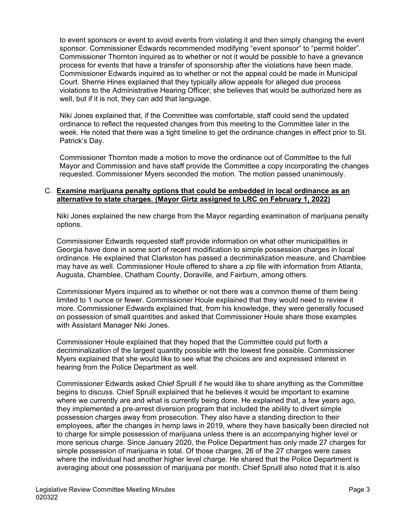to event sponsors or event to avoid events from violating it and then simply changing the event sponsor. Commissioner Edwards recommended modifying "event sponsor" to "permit holder". Commissioner Thornton inquired as to whether or not it would be possible to have a grievance process for events that have a transfer of sponsorship after the violations have been made. Commissioner Edwards inquired as to whether or not the appeal could be made in Municipal Court. Sherrie Hines explained that they typically allow appeals for alleged due process violations to the Administrative Hearing Officer; she believes that would be authorized here as well, but if it is not, they can add that language.

Niki Jones explained that, if the Committee was comfortable, staff could send the updated ordinance to reflect the requested changes from this meeting to the Committee later in the week. He noted that there was a tight timeline to get the ordinance changes in effect prior to St. Patrick's Day.

Commissioner Thornton made a motion to move the ordinance out of Committee to the full Mayor and Commission and have staff provide the Committee a copy incorporating the changes requested. Commissioner Myers seconded the motion. The motion passed unanimously.

## C. **Examine marijuana penalty options that could be embedded in local ordinance as an alternative to state charges. (Mayor Girtz assigned to LRC on February 1, 2022)**

Niki Jones explained the new charge from the Mayor regarding examination of marijuana penalty options.

Commissioner Edwards requested staff provide information on what other municipalities in Georgia have done in some sort of recent modification to simple possession charges in local ordinance. He explained that Clarkston has passed a decriminalization measure, and Chamblee may have as well. Commissioner Houle offered to share a zip file with information from Atlanta, Augusta, Chamblee, Chatham County, Doraville, and Fairburn, among others.

Commissioner Myers inquired as to whether or not there was a common theme of them being limited to 1 ounce or fewer. Commissioner Houle explained that they would need to review it more. Commissioner Edwards explained that, from his knowledge, they were generally focused on possession of small quantities and asked that Commissioner Houle share those examples with Assistant Manager Niki Jones.

Commissioner Houle explained that they hoped that the Committee could put forth a decriminalization of the largest quantity possible with the lowest fine possible. Commissioner Myers explained that she would like to see what the choices are and expressed interest in hearing from the Police Department as well.

Commissioner Edwards asked Chief Spruill if he would like to share anything as the Committee begins to discuss. Chief Spruill explained that he believes it would be important to examine where we currently are and what is currently being done. He explained that, a few years ago, they implemented a pre-arrest diversion program that included the ability to divert simple possession charges away from prosecution. They also have a standing direction to their employees, after the changes in hemp laws in 2019, where they have basically been directed not to charge for simple possession of marijuana unless there is an accompanying higher level or more serious charge. Since January 2020, the Police Department has only made 27 charges for simple possession of marijuana in total. Of those charges, 26 of the 27 charges were cases where the individual had another higher level charge. He shared that the Police Department is averaging about one possession of marijuana per month. Chief Spruill also noted that it is also